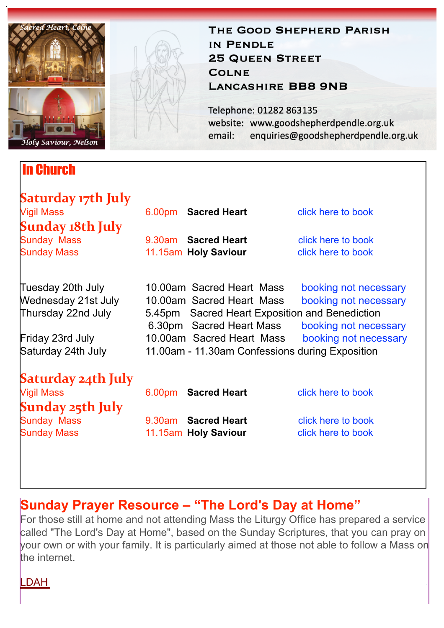

### In Church

# **Saturday 17th July**<br><sub>Vigil Mass</sub> **Sunday 18th July**<br>Sunday Mass

9.30am **Sacred Heart [click here to book](https://www.eventbrite.co.uk/e/161901290117)** Sunday Mass **11.15am Holy Saviour [click here to book](https://www.eventbrite.co.uk/e/161901370357)** 

6.00pm **Sacred Heart** [click here to book](https://www.eventbrite.co.uk/e/161901189817)

enquiries@goodshepherdpendle.org.uk

THE GOOD SHEPHERD PARISH

website: www.goodshepherdpendle.org.uk

IN PENDLE

**COLNE** 

email:

**25 QUEEN STREET** 

Telephone: 01282 863135

**LANCASHIRE BB8 9NB** 

Tuesday 20th July 10.00am Sacred Heart Mass booking not necessary Wednesday 21st July 10.00am Sacred Heart Mass booking not necessary Thursday 22nd July 5.45pm Sacred Heart Exposition and Benediction

Friday 23rd July 10.00am Sacred Heart Mass booking not necessary Saturday 24th July 11.00am - 11.30am Confessions during Exposition

## **Saturday 24th July**

**Sunday 25th July**<br>Sunday Mass

6.30pm Sacred Heart Mass booking not necessary

6.00pm **Sacred Heart** [click here to book](https://www.eventbrite.co.uk/e/162694438445)

9.30am **Sacred Heart [click here to book](https://www.eventbrite.co.uk/e/162694586889)** Sunday Mass **11.15am Holy Saviour [click here to book](https://www.eventbrite.co.uk/e/162694729315)** 

## **Sunday Prayer Resource – "The Lord's Day at Home"**

For those still at home and not attending Mass the Liturgy Office has prepared a service called "The Lord's Day at Home", based on the Sunday Scriptures, that you can pray on your own or with your family. It is particularly aimed at those not able to follow a Mass on the internet.

#### [LDAH](https://gbr01.safelinks.protection.outlook.com/?url=https%3A%2F%2Fdioceseofsalford.us6.list-manage.com%2Ftrack%2Fclick%3Fu%3D76e219dab8653b775ba8aac4c%26id%3D81a0d2a039%26e%3D5ce69633f0&data=04%7C01%7Cpeter.wilkinson%40dioceseofsalford.org.uk%7Cfbb46cec12614c5674b608d946a63714%7C699a61ae142a45a090c604b2f08de19b%7C0%7C0%7C637618501976440756%7CUnknown%7CTWFpbGZsb3d8eyJWIjoiMC4wLjAwMDAiLCJQIjoiV2luMzIiLCJBTiI6Ik1haWwiLCJXVCI6Mn0%3D%7C1000&sdata=Q3o54cMbtvYFUZGFauotPpWW1xWqTklGW6n6TpiKSqc%3D&reserved=0)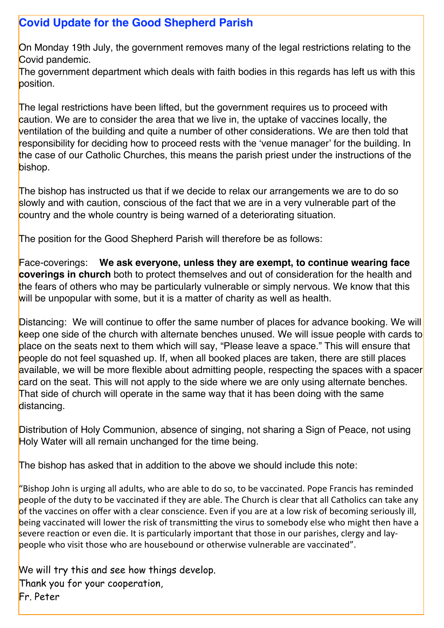### **Covid Update for the Good Shepherd Parish**

On Monday 19th July, the government removes many of the legal restrictions relating to the Covid pandemic.

The government department which deals with faith bodies in this regards has left us with this position.

The legal restrictions have been lifted, but the government requires us to proceed with caution. We are to consider the area that we live in, the uptake of vaccines locally, the ventilation of the building and quite a number of other considerations. We are then told that responsibility for deciding how to proceed rests with the 'venue manager' for the building. In the case of our Catholic Churches, this means the parish priest under the instructions of the bishop.

The bishop has instructed us that if we decide to relax our arrangements we are to do so slowly and with caution, conscious of the fact that we are in a very vulnerable part of the country and the whole country is being warned of a deteriorating situation.

The position for the Good Shepherd Parish will therefore be as follows:

Face-coverings: **We ask everyone, unless they are exempt, to continue wearing face coverings in church** both to protect themselves and out of consideration for the health and the fears of others who may be particularly vulnerable or simply nervous. We know that this will be unpopular with some, but it is a matter of charity as well as health.

Distancing: We will continue to offer the same number of places for advance booking. We will keep one side of the church with alternate benches unused. We will issue people with cards to place on the seats next to them which will say, "Please leave a space." This will ensure that people do not feel squashed up. If, when all booked places are taken, there are still places available, we will be more flexible about admitting people, respecting the spaces with a spacer card on the seat. This will not apply to the side where we are only using alternate benches. That side of church will operate in the same way that it has been doing with the same distancing.

Distribution of Holy Communion, absence of singing, not sharing a Sign of Peace, not using Holy Water will all remain unchanged for the time being.

The bishop has asked that in addition to the above we should include this note:

"Bishop John is urging all adults, who are able to do so, to be vaccinated. Pope Francis has reminded people of the duty to be vaccinated if they are able. The Church is clear that all Catholics can take any of the vaccines on offer with a clear conscience. Even if you are at a low risk of becoming seriously ill, being vaccinated will lower the risk of transmitting the virus to somebody else who might then have a severe reaction or even die. It is particularly important that those in our parishes, clergy and laypeople who visit those who are housebound or otherwise vulnerable are vaccinated".

We will try this and see how things develop. Thank you for your cooperation, Fr. Peter